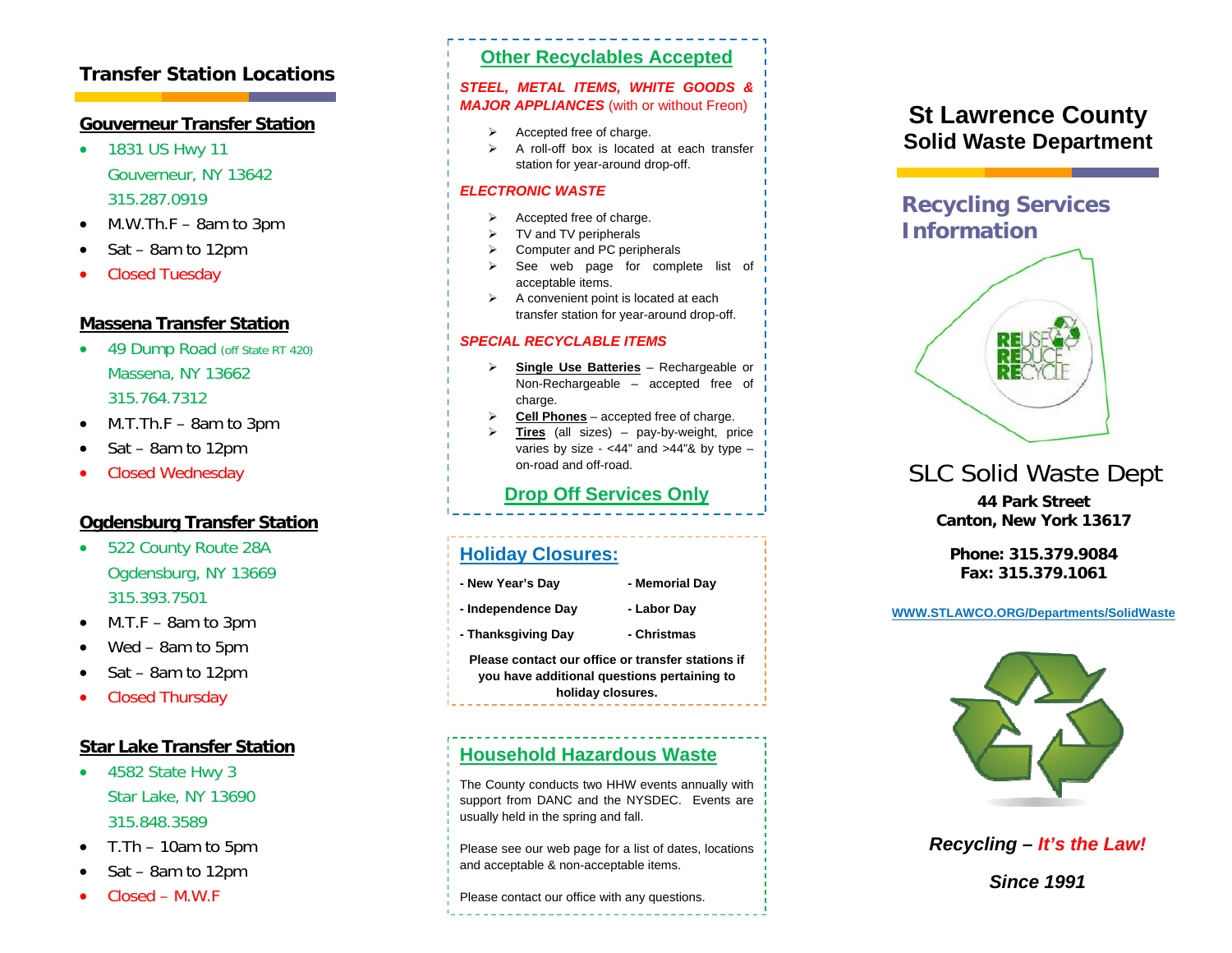## **Transfer Station Locations**

#### **Gouverneur Transfer Station**

- 1831 US Hwy 11 Gouverneur, NY 13642 315.287.0919
- . M.W.Th.F – 8am to 3pm
- . Sat – 8am to 12pm
- 0 Closed Tuesday

#### **Massena Transfer Station**

- 49 Dump Road (off State RT 420) Massena, NY 13662 315.764.7312
- . M.T.Th.F – 8am to 3pm
- . Sat – 8am to 12pm
- 0 Closed Wednesday

#### **Ogdensburg Transfer Station**

- 0 522 County Route 28A Ogdensburg, NY 13669 315.393.7501
- . M.T.F – 8am to 3pm
- . Wed – 8am to 5pm
- . Sat – 8am to 12pm
- 0 Closed Thursday

#### **Star Lake Transfer Station**

- 0 4582 State Hwy 3 Star Lake, NY 13690 315.848.3589
- . T.Th – 10am to 5pm
- . Sat – 8am to 12pm
- 0 Closed – M.W.F

#### **Other Recyclables Accepted**

#### *STEEL, METAL ITEMS, WHITE GOODS & MAJOR APPLIANCES* (with or without Freon)

- $\triangleright$  Accepted free of charge.
- $\triangleright$  A roll-off box is located at each transfer station for year-around drop-off.

#### *ELECTRONIC WASTE*

- $\triangleright$  Accepted free of charge.
- TV and TV peripherals
- Computer and PC peripherals
- See web page for complete list of acceptable items.
- A convenient point is located at each transfer station for year-around drop-off.

#### *SPECIAL RECYCLABLE ITEMS*

- $\blacktriangleright$  **Single Use Batteries** – Rechargeable or Non-Rechargeable – accepted free of charge.
- ⋗ **Cell Phones** – accepted free of charge.
- ⋗ **Tires** (all sizes) – pay-by-weight, price varies by size -  $<$ 44" and  $>$ 44" $&$  by type – on-road and off-road.

## **Drop Off Services Only**

#### **Holiday Closures:**

| - New Year's Day                                                                                 | - Memorial Day |  |  |
|--------------------------------------------------------------------------------------------------|----------------|--|--|
| - Independence Dav                                                                               | - Labor Day    |  |  |
| - Thanksgiving Day                                                                               | - Christmas    |  |  |
| Please contact our office or transfer stations if<br>you have additional questions pertaining to |                |  |  |

**holiday closures.**

## **Household Hazardous Waste**

The County conducts two HHW events annually with support from DANC and the NYSDEC. Events are usually held in the spring and fall.

Please see our web page for a list of dates, locations and acceptable & non-acceptable items.

Please contact our office with any questions.

# **St Lawrence County Solid Waste Department**

## **Recycling Services Information**



# SLC Solid Waste Dept

**44 Park Street Canton, New York 13617** 

**Phone: 315.379.9084 Fax: 315.379.1061** 

#### **WWW.STLAWCO.ORG/Departments/SolidWaste**



*Recycling – It's the Law!*

*Since 1991*